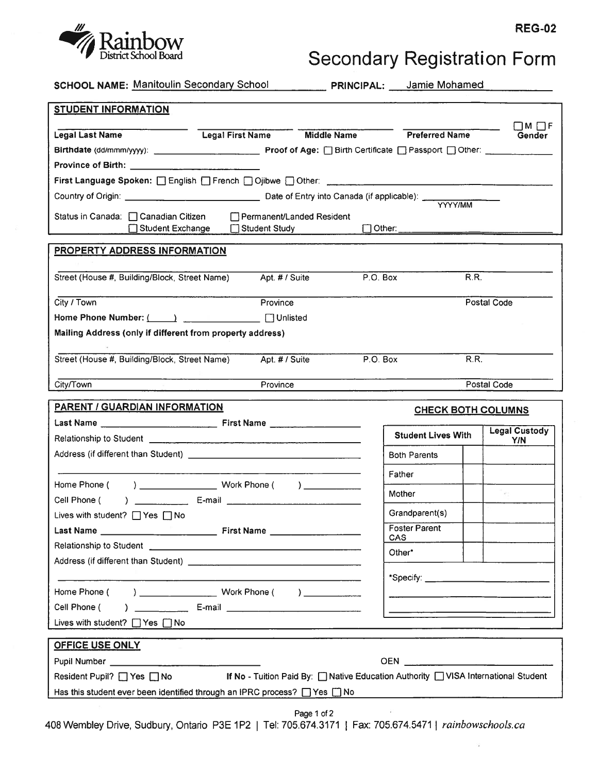

## <sub>REG-02</sub><br>Secondary Registration Form

SCHOOL NAME: Manitoulin Secondary School PRINCIPAL: Jamie Mohamed

| <b>STUDENT INFORMATION</b>                                                          |                                                                                      |  |                                    |                               |  |
|-------------------------------------------------------------------------------------|--------------------------------------------------------------------------------------|--|------------------------------------|-------------------------------|--|
| <b>Legal Last Name</b>                                                              | Legal First Name Middle Name Preferred Name                                          |  |                                    | $\Box$ m $\Box$ f<br>Gender   |  |
|                                                                                     |                                                                                      |  |                                    |                               |  |
| Province of Birth: ______________________________                                   |                                                                                      |  |                                    |                               |  |
| First Language Spoken: [ English [ French [ Gibwe [ Other: ______________________   |                                                                                      |  |                                    |                               |  |
|                                                                                     |                                                                                      |  |                                    |                               |  |
| Status in Canada: □ Canadian Citizen                                                | Permanent/Landed Resident                                                            |  | <b>YYYY/MM</b>                     |                               |  |
| Student Exchange                                                                    | Student Study                                                                        |  |                                    |                               |  |
|                                                                                     |                                                                                      |  |                                    |                               |  |
| <b>PROPERTY ADDRESS INFORMATION</b>                                                 |                                                                                      |  |                                    |                               |  |
| Street (House #, Building/Block, Street Name) Apt. # / Suite                        |                                                                                      |  | P.O. Box                           | R.R.                          |  |
| City / Town                                                                         | Province                                                                             |  |                                    | Postal Code                   |  |
| Home Phone Number: ( ) ________________ Unlisted                                    |                                                                                      |  |                                    |                               |  |
| Mailing Address (only if different from property address)                           |                                                                                      |  |                                    |                               |  |
|                                                                                     |                                                                                      |  |                                    |                               |  |
| Street (House #, Building/Block, Street Name)                                       | Apt. # / Suite                                                                       |  | P.O. Box                           | R.R.                          |  |
| City/Town                                                                           | Province                                                                             |  |                                    | Postal Code                   |  |
| PARENT / GUARDIAN INFORMATION                                                       |                                                                                      |  |                                    | <b>CHECK BOTH COLUMNS</b>     |  |
|                                                                                     |                                                                                      |  |                                    |                               |  |
|                                                                                     |                                                                                      |  | <b>Student Lives With</b>          | <b>Legal Custody</b><br>Y/N   |  |
|                                                                                     |                                                                                      |  | <b>Both Parents</b>                |                               |  |
|                                                                                     |                                                                                      |  | Father                             |                               |  |
|                                                                                     |                                                                                      |  | Mother                             | $\mathcal{A}^{\mathcal{C}}$ . |  |
| Cell Phone (<br>Lives with student? □ Yes □ No                                      |                                                                                      |  | Grandparent(s)                     |                               |  |
|                                                                                     |                                                                                      |  | <b>Foster Parent</b><br><b>CAS</b> |                               |  |
|                                                                                     |                                                                                      |  | Other*                             |                               |  |
|                                                                                     |                                                                                      |  |                                    |                               |  |
|                                                                                     |                                                                                      |  |                                    |                               |  |
| Home Phone (                                                                        | ) _______________________ Work Phone ( ) _____________                               |  |                                    |                               |  |
| Cell Phone (                                                                        |                                                                                      |  |                                    |                               |  |
| Lives with student? $\Box$ Yes $\Box$ No                                            |                                                                                      |  |                                    |                               |  |
| <b>OFFICE USE ONLY</b>                                                              |                                                                                      |  |                                    |                               |  |
|                                                                                     |                                                                                      |  | OEN _________________________      |                               |  |
| Resident Pupil? ■ Yes ■ No                                                          | If No - Tuition Paid By: [ Native Education Authority [ ] VISA International Student |  |                                    |                               |  |
| Has this student ever been identified through an IPRC process? $\Box$ Yes $\Box$ No |                                                                                      |  |                                    |                               |  |

Page 1 of 2

408 Wembley Drive, Sudbury, Ontario P3E 1P2 | Tel: 705.674.3171 | Fax: 705.674.5471 | rainbowschools.ca